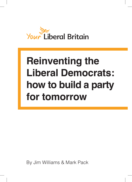

# **Reinventing the Liberal Democrats: how to build a party for tomorrow**

By Jim Williams & Mark Pack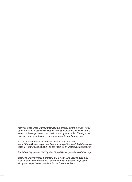Many of these ideas in this pamphlet have emerged from the work we've *seen others do successfully already, from conversations with colleagues and from the responses to our previous writings and talks. Thank you to everyone who contributed in some way to our thought processes.* 

*If reading this pamphlet makes you want to help out, visit www.LiberalBritain.org to see how you can get involved. And if you have ideas for what we can do next, you can reach us on ideas@liberalbritain.org*

*Published, September 2017 by Your Liberal Britain (www.LiberalBritain.org).* 

*Licensed under Creative Commons CC BY-ND. This license allows for redistribution, commercial and non-commercial, provided it is passed along unchanged and in whole, with credit to the authors.*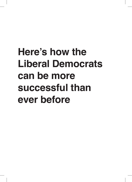# **Here's how the Liberal Democrats can be more successful than ever before**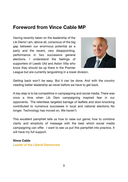## **Foreword from Vince Cable MP**

Having recently taken on the leadership of the Lib Dems I am, above all, conscious of the big gap between our enormous potential as a party and the recent, very disappointing, performance in two successive general elections. I understand the feelings of supporters of Leeds Utd and Aston Villa who know they should be up there in the Premier



League but are currently languishing in a lower division.

Getting back won't be easy. But it can be done. And with the country needing better leadership as never before we have to get back.

A key step is to be competitive in campaigning and social media. There was once a time when Lib Dem campaigning inspired fear in our opponents. The relentless targeted barrage of leaflets and door-knocking contributed to numerous successes in local and national elections. No longer. Technology has moved on. We haven't.

This excellent pamphlet tells us how to raise our game; how to combine clarity and simplicity of message with the best which social media campaigning can offer. I want to see us put this pamphlet into practice. It will have my full support.

#### **Vince Cable**

**Leader of the Liberal Democrats**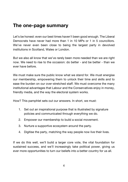# **The one-page summary**

Let's be honest: even our best times haven't been good enough. The Liberal Democrats have never had more than 1 in 10 MPs or 1 in 5 councillors. We've never even been close to being the largest party in devolved institutions in Scotland, Wales or London.

But we also all know that we've rarely been more needed than we are right now. We need to rise to the occasion: do better - and be better - than we ever have before.

We must make sure the public know what we stand for. We must energise our membership, empowering them to unlock their time and skills and to ease the burden on our over-stretched staff. We must overcome the many institutional advantages that Labour and the Conservatives enjoy in money, friendly media, and the way the electoral system works.

How? This pamphlet sets out our answers. In short, we must:

- 1. Set out an inspirational purpose that is illustrated by signature policies and communicated through everything we do.
- 2. Empower our membership to build a social movement.
- 3. Nurture a supportive ecosystem around the party.
- 4. Digitise the party, matching the way people now live their lives.

If we do this well, we'll build a larger core vote, the vital foundation for sustained success, and we'll increasingly take political power, giving us ever more opportunities to turn our beliefs into a better country for us all.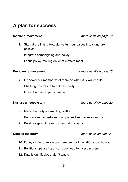# **A plan for success**

**Inspire a movement** *– more detail on page 10*

- 1. Start at the finish. How do we turn our values into signature policies?
- 2. Integrate campaigning and policy.
- 3. Focus policy-making on what matters most.

**Empower a movement** *– more detail on page 15*

- 4. Empower our members: let them do what *they* want to do.
- 5. Challenge members to help the party.
- 6. Lower barriers to participation.

**Nurture an ecosystem** *– more detail on page 20*

- 7. Make the party an enabling platform.
- 8. Run national issue-based campaigns like pressure groups do.
- 9. Build bridges with groups beyond the party.

**Digitise the party** *– more detail on page 23*

- 10. Funny or die: draw on our members for innovation and humour.
- 11. Relationships are hard work: we need to invest in them.
- 12. Data is our lifeblood: don't waste it.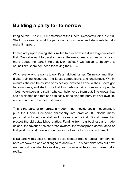# **Building a party for tomorrow**

Imagine this. The 200,000<sup>th</sup> member of the Liberal Democrats joins in 2020. She knows exactly what the party wants to achieve, and she wants to help make it happen.

Immediately upon joining she's invited to pick how she'd like to get involved first. Does she want to develop new software? Come to a meeting to learn more about the party? Help deliver leaflets? Campaign to become a councillor? Share her ideas for saving the NHS?

Whichever way she wants to go, it's all laid out for her. Online communities, digital training resources, the latest competitions and challenges. Within minutes she can be as little or as heavily involved as she wishes. She's got her own ideas, and she knows that this party contains thousands of people – both volunteers and staff - who can help her try them out. She knows that she's welcome and that she can easily fit helping the party into her own life and around her other commitments.

This is the party of tomorrow: a modern, fast-moving social movement. It puts the Liberal Democrat philosophy into practice. It unlocks mass participation to help our staff and to overcome the institutional biases that protect the old established parties. Funding from big business and trade unions, the favour of select press owners, the widespread continuance of first past the post: new approaches can allow us to overcome them all.

It is a party with a clear ambition to build a better Britain – and a membership both empowered and challenged to achieve it. This pamphlet sets out how we can build on what has worked, learn from what hasn't and make that a reality.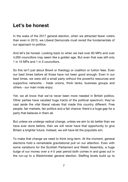# **Let's be honest**

In the wake of the 2017 general election, when we attracted fewer voters than even in 2015, we Liberal Democrats must revisit the fundamentals of our approach to politics.

And let's be honest. Looking back to when we had over 60 MPs and over 4,000 councillors may seem like a golden age. But even that was still only 1 in 10 MPs and 1 in 5 councillors.

So this isn't just about Brexit or theology or coalition or tuition fees. Even our best times before all those have not been good enough. Even in our best times, we were still a small party without the powerful resources and supportive networks - trade unions, think tanks, business groups and others - our main rivals enjoy.

Yet, we all know that we've never been more needed in British politics. Other parties have vacated huge tracts of the political spectrum; they've cast aside the vital liberal values that made this country different. Free people, fair markets, fair politics and a fair chance: there's a huge gap for a party that believes in them all.

But unless we undergo radical change, unless we aim to do better than we have ever done before, then we will never have that opportunity to give Britain a brighter future. Instead, we will have let the populists win.

To make that change we need to think long-term. At the moment, general elections hold a remarkable gravitational pull on our attention. Even with some variations for the Scottish Parliament and Welsh Assembly, a huge bulge of our money over a 4-5 year period both comes in and goes out in the run-up to a Westminster general election. Staffing levels build up to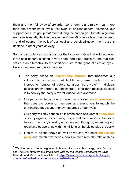them and then fall away afterwards. 'Long-term' plans rarely mean more than one Westminster cycle. Yet even in brilliant general elections, our support does not go up *that* much during the campaign. Our fate in general elections is mostly decided before the Prime Minister calls on the monarch – and of course, the bulk of our local and devolved government base is decided in other years anyway.

So this pamphlet sets out a plan for the long-term. One that will help even if the next general election is very soon, and also, crucially, one that also sets out an alternative to the short-termism of the general election cycle. Here is how we can make it happen:

- 1. The party needs an **inspirational purpose** that translates our values into something that builds long-term loyalty from an increasing number of voters (a larger 'core vote').<sup>1</sup> Individual policies are important, but the secret to long-term political success is to convey the party's overall outlook and approach.
- 2. Our party can become a powerful, fast-moving **social movement** that uses the power of members and supporters to match the entrenched media and money resources of our rivals.
- 3. Our party will only flourish if it is at the heart of a vibrant **ecosystem** of campaigners, think tanks, blogs and personalities that exist beyond the party's walls, enriching our thoughts, extending our reach and cooperating with the millions of liberals outside the party.
- 4. Finally, to do the above as well as we can, we must **digitise the party** and match how people now live their lives: the relationships,

 $1$  We don't recap the full argument in favour of a core vote strategy here. For that see *The 20% strategy: building a core vote for the Liberal Democrats* by David Howarth and Mark Pack, available at https://www.markpack.org.uk/building-acore-vote-for-the-liberal-democrats-the-20-strategy/.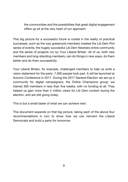the communities and the possibilities that great digital engagement offers up sit at the very heart of our approach.

This big picture for a successful future is rooted in the reality of practical successes, such as the way grassroots members created the Lib Dem Pint series of events, the hugely successful Lib Dem Newbies online community and the series of projects run by Your Liberal Britain. All of us, both new members and long-standing members, can do things in new ways, do them better and do them successfully.

Your Liberal Britain, for example, challenged members to help us write a vision statement for the party: 7,000 people took part. It will be launched at Autumn Conference in 2017. During the 2017 General Election we set up a community for digital campaigners, the Online Champions group: we trained 300 members in less than five weeks, with no funding at all. They helped us gain more than 2 million views for Lib Dem content during the election, and are still going today.

This is but a small taster of what we can achieve next.

This document expands on that big picture, taking each of the above four recommendations in turn to show how we can reinvent the Liberal Democrats and build a party for tomorrow.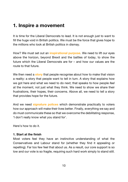# **1. Inspire a movement**

It is time for the Liberal Democrats to lead. It is not enough just to want to fill the huge void in British politics. We must be the force that gives hope to the millions who look at British politics in dismay.

How? We must set out an **inspirational purpose**. We need to lift our eyes above the horizon, beyond Brexit and the battles of today, to show the future which the Liberal Democrats are for – and how our values are the route to that future.

We then need a **story** that people recognise about how to make that vision a reality: a story that people want to tell in turn. A story that explains how we got here and what we need to do next; that speaks to how people *feel* at the moment, not just what they think. We need to show we share their frustrations, their hopes, their concerns. Above all, we need to tell a story that provides hope for the future.

And we need **signature polices** which demonstrate practically to voters how our approach will make their lives better. Finally, everything we say and do must communicate these so that we overcome the debilitating response, 'I don't really know what you stand for'.

Here's how to do it.

#### **1. Start at the finish**

Most voters feel they have an instinctive understanding of what the Conservatives and Labour stand for (whether they find it appealing or repelling). Far too few feel that about us. As a result, our core support is so low and our vote is so fragile, requiring such hard work simply to stand still.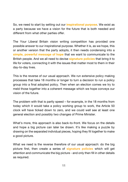So, we need to start by setting out our **inspirational purpose**. We exist as a party because we have a vision for the future that is both needed and different from what other parties offer.

The Your Liberal Britain vision writing competition has provided one possible answer to our inspirational purpose. Whether it is, as we hope, this or another version that the party adopts, it then needs condensing into a **simple, powerful message of hope** that we want to communicate to the British people. And we all need to devise **signature policies** that bring it to life for voters, connecting it with the issues that matter most to them in their day-to-day lives.

This is the reverse of our usual approach. We run extensive policy making processes that take 18 months or longer to turn a decision to run a policy group into a final adopted policy. Then when an election comes we try to meld those together into a coherent message which we hope conveys our vision of the future.

The problem with that is partly speed – for example, in the 18 months from today which it would take a policy working group to work, the Article 50 clock will have ticked down to zero, and we could well see at least one general election and possibly two changes of Prime Minister.

What's more, this approach is also back-to-front. We focus on the details and hope a big picture can later be drawn. It's like making a puzzle by drawing on the separated individual pieces, hoping they fit together to make a good picture.

What we need is the reverse therefore of our usual approach: do the big picture first, then create a series of **signature policies** which will get attention and communicate the big picture - and only then fill in other details as required.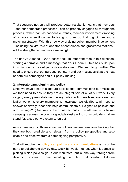That sequence not only will produce better results, it means that members – and our democratic processes - can be properly engaged all through the process, rather than, as happens currently, member involvement dropping off sharply when it comes to trying to draw up that big picture and a matching strategy. With this new way of doing policy, member involvement – including the vital role of debates at conference and grassroots motions will be strengthened and more meaningful.

The party's Agenda 2020 process took an important step in this direction, starting a narrative and a message that Your Liberal Britain has built upon in writing our proposed party vision statement. We need to go further. We need to ensure that our purpose, our story and our messages sit at the heat of both our campaigns and our policy-making.

#### **2. Integrate campaigning and policy**

Once we have a set of signature policies that communicate our message, we then need to ensure they are an integral part of all of our work. Every slogan, every press statement, every public action we take, every election leaflet we print, every membership newsletter we distribute: all need to answer positively 'does this help communicate our signature policies and our message?' (One way to help answer that in the affirmative is to run campaigns across the country specially designed to communicate what we stand for, a subject we return to on p.21).

As we campaign on those signature policies we need keep on checking that they are both credible and relevant from a policy perspective and also usable and effective from a campaigning perspective.

That will require the **policy, campaigns and communications** arms of the party to collaborate day by day, week by week: not just when it comes to picking which policies go in our manifesto, but all the way through from designing policies to communicating them. And that constant dialogue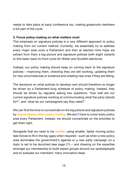needs to take place at party conference too, making grassroots members a full part of the cycle.

#### **3. Focus policy-making on what matters most**

This emphasis on signature policies is a very different approach to policy making from our current method. Currently, we essentially try to address every major area once a Parliament and then at election time hope we extract from them a big picture and signature policies (with slight variants to this basic back-to-front cycle for Welsh and Scottish elections).

Instead, our policy making should keep on coming back to the signature policies – improving them, checking they are still working, updating them for new circumstances or evidence and creating new ones if they are failing.

The decisions on what policies to develop next should therefore no longer be driven by a Parliament-long schedule of policy making. Instead, they should be driven by regularly asking two questions: 'how well are our current signature policies working at communicating what the party stands for?', and 'what do our campaigners say they need?'

We can find the time to concentrate on the big picture and signature policies by **deprioritising other policy making**. We don't have to cover every policy area every Parliament. Instead, we should concentrate on the priorities to get them right.

Alongside that we need to be **nimble**: using smaller, faster moving policy task forces to fill in the key gaps when required – such as when a new policy area dominates the government's agenda or a new party campaign on a topic is set to be launched (see page 21) – and drawing on the expertise amongst our membership to build expert groups around our spokespeople and to evaluate our members' many innovative ideas.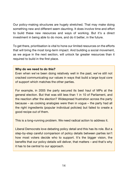Our policy-making structures are hugely stretched. That may make doing something new and different seem daunting. It does involve time and effort to build these new resources and ways of working. But it's a direct investment in being able to do more, and do it better, in the future.

To get there, prioritisation is vital to hone our limited resources on the efforts that will bring the most long-term impact. And building a social movement, as we argue in the next section, will unlock far greater resources than it required to build in the first place.

#### **Why do we need to do this?**

Even when we've been doing relatively well in the past, we've still not cracked communicating our values in ways that build a large loyal core of support which matches the other parties.

For example, in 2005 the party secured its best haul of MPs at the general election. But that was still less than 1 in 10 of Parliament, and the reaction after the election? Widespread frustration across the party because – as cooking analogies were then in vogue – the party had all the right ingredients (popular individual policies) but failed to create a good recipe out of them.

This is a long-running problem. We need radical action to address it.

Liberal Democrats love debating policy detail and this has its role. But a step-by-step careful comparison of policy details between parties isn't how most voters decide who to support. It's the bigger vision, the benefits that our policy details will deliver, that matters – and that's why it has to be central to our approach.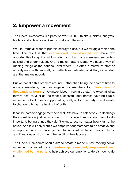# **2. Empower a movement**

The Liberal Democrats is a party of over 100,000 thinkers, artists, analysts, leaders and activists – all keen to make a difference.

We Lib Dems all want to put this energy to use, but we struggle to find the time. The result is that **over-worked, time-strapped staff** have few opportunities to tap into all this talent and that many members feel underutilised and under-valued. And to make matters worse, we have a way of running things at the national level where it is often a matter of staff or nobody – and with few staff, no matter how dedicated or skilled, as our staff are, that means nobody.

But we can flip this problem around. Rather than being too short of time to engage members, we can engage our members to **unlock tens of thousands of hours** of volunteer labour, freeing up staff to excel at what they're best at. Just as the most successful local parties have built up a movement of volunteers supported by staff, so too the party overall needs to change to bring the best out of both.

It can be hard to engage members well. We have to ask people to do things they want to do just as much – if not more – than we ask them to do important, boring things they don't want to do, no matter how vital to the cause. And it will only work if we empower our members to be creative and entrepreneurial; if we challenge them to find solutions to complex problems; and if we always show them the result of their labours.

The Liberal Democrats should aim to create a modern, fast-moving social movement, powered by a **membership connected, empowered, and challenged by the party** to help achieve our ambitions. Here's how to do it.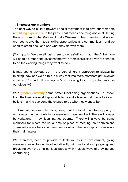#### **1. Empower our members**

The best way to build a powerful social movement is to give our members a **fulfilling experience** in the party. That means one thing above all: letting them do more of what *they* want to do. We need to train them in what works, we need to give them tools, skills, opportunities and communities – and we need to stand back and see what they do with them.

(Don't panic! We can still ask them to go leafleting. In fact, they'll be more willing to do important tasks that motivate them less if also given the chance to do the exciting things they want to do.)

It may sound obvious but it is a very different approach to always be thinking 'how can we do this in a way that lets more members get involved in helping?' – and followed up by 'are we doing this in ways that improve our diversity?'

With **greater diversity** come better-functioning organisations – a lesson from the business world applicable to us and a lesson that brings to life our beliefs in giving everyone the chance to be who they want to be.

That means, for example, recognising that the local constituency party is not always the best route in for members to get involved. There will always be variations in how local parties operate. There will always be some members for whom the usual time or place of meeting isn't convenient. There will always be some members for whom the geographic focus is not their main interest.

We, therefore, need to provide multiple routes into involvement, giving members ways to get involved directly with national campaigning and providing even the smallest local parties with multiple ways of growing and contributing.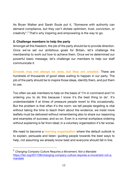As Bryan Walker and Sarah Soule put it, "Someone with authority can demand compliance, but they can't dictate optimism, trust, conviction, or creativity". <sup>2</sup> That's why inspiring and empowering is the way to go.

#### **2. Challenge members to help the party**

Amongst all this freedom, the job of the party should be to provide direction. Once we've set our ambitious goals for Britain, let's challenge the membership to work out how to achieve them. Once we've determined our powerful basic message, let's challenge our members to help our staff communicate it.

**Crowds may not always be wise, but they are creative.** There are hundreds of thousands of good ideas waiting to happen in our party. The job of the party should be to inspire those ideas, identify them, and put them to use.

Too often we ask members to help on the basis of 'I'm in command and I'm ordering you to do this because I know it's the best thing to do'. It's understandable if at times of pressure people revert to this occasionally. But the problem is that often it's the norm: we tell people targeting is vital without taking the time to teach them about the evidence; we insist more leaflets must be delivered without remembering also to share our reasoning and examples of success; and so on. Even in a normal workplace ordering without explaining is far from ideal; in a voluntary organisation it's far worse.

We need to become a **learning organisation** where the default outlook is to explain, persuade and listen: guiding people towards the best ways to help, not assuming we already know best and everyone should fall in line.

 <sup>2</sup> *Changing Company Culture Requires a Movement, Not a Mandate* https://hbr.org/2017/06/changing-company-culture-requires-a-movement-not-amandate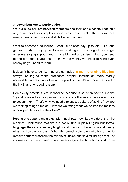#### **3. Lower barriers to participation**

We put huge barriers between members and their participation. That isn't only a matter of our complex internal structures, it's also the way we lock away so many resources and skills behind barriers.

Want to become a councillor? Great. But please pay up to join ALDC and get your party to pay up for Connect and sign up to Google Drive to get other messaging support and… It's a blizzard of barriers: things you need to find out, people you need to know, the money you need to hand over, acronyms you need to learn.

It doesn't have to be like that. We can adopt **a mantra of simplification**, always looking to make processes simpler, information more readily accessible and resources free at the point of use (it's a model we love for the NHS, and for good reason).

Complexity breeds if left unchecked because it so often seems like the 'logical' answer to a new problem is to add another rule or process or body to account for it. That's why we need a relentless culture of asking 'how are we making things simpler? How are we fitting what we do into the realities of how people now live their lives?'.

Here is one super-simple example that shows how little we do this at the moment. Conference motions are not written in plain English but formal language, they are often very lengthy and they do not even signpost clearly what the key elements are. When the crunch vote is on whether or not to remove some words from the middle of line 58, that is a telling sign that key information is often buried to non-veteran eyes. Each motion could come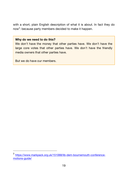with a short, plain English description of what it is about. In fact they do now<sup>3</sup>: because party members decided to make it happen.

#### **Why do we need to do this?**

We don't have the money that other parties have. We don't have the large core votes that other parties have. We don't have the friendly media owners that other parties have.

But we do have our members.

 <sup>3</sup> https://www.markpack.org.uk/151068/lib-dem-bournemouth-conferencemotions-guide/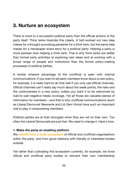# **3. Nurture an ecosystem**

There is more to a successful political party than the official actions of the party itself. Think tanks illustrate this clearly. A half-worked out new idea makes for a thought-provoking pamphlet for a think tank, but the same idea makes for a newspaper scare story for a political party. Helping a party is more partisan than helping a think tank. That is why think tanks are better than formal party activities at exploring new ideas and at working with a broad range of people and institutions than the formal policy-making processes of political parties.

A similar inherent advantage of the unofficial is seen with internal communications. If you want to let party members know about a new policy, for example, it is really hard to do that well if you only use official channels. Official channels can't really say much about the weak points, the risks and the controversies in a new policy unless you want it to be welcomed by wall-to-wall negative media coverage. Yet all those are valuable pieces of information for members – and that is why unofficial communications (such as *Liberal Democrat Newswire* and *Lib Dem Voice*) have such an important role to play in empowering members.

Political parties are at their strongest when they are not on their own. Too often the Liberal Democrats are just that. We need to change it. Here's how.

#### **1. Make the party an enabling platform**

We **benefit from a lively ecosystem** of official and unofficial organisations within the party, and from good relations with friendly or interested bodies outside.

Yet rather than cultivating this ecosystem currently, for example, we force official and unofficial party bodies to reinvent their own membership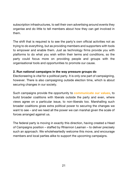subscription infrastructures, to sell their own advertising around events they organise and do little to tell members about how they can get involved in them.

The shift that is required is to see the party's own official activities not as trying to do everything, but as providing members and supporters with tools to empower and enable them. Just as technology firms provide you with platforms to do what you wish within their terms and conditions, so the party could focus more on providing people and groups with the organisational tools and opportunities to promote our cause.

#### **2. Run national campaigns in the way pressure groups do**

Electioneering is vital for a political party. It is only one part of campaigning, however. There is also campaigning outside election time, which is about securing changes in our society.

Such campaigns provide the opportunity to **communicate our values**, to build broader coalitions with liberals outside the party and even, where views agree on a particular issue, to non-liberals too. Marshalling such broader coalitions gives extra political power to securing the changes we want to see – and we need all the power we can marshal given the scale of forces arranged against us.

The federal party is moving in exactly this direction, having created a Head of Campaigns position – staffed by Rhiannon Leaman – to deliver precisely such an approach. We wholeheartedly welcome this move, and encourage members and local parties alike to support the upcoming campaigns.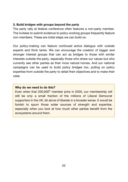#### **3. Build bridges with groups beyond the party**

The party rally at federal conference often features a non-party member. The invitees to submit evidence to policy working groups frequently feature non-members. These are initial steps we can build on.

Our policy-making can feature continued active dialogue with outside experts and think tanks. We can encourage the creation of bigger and stronger interest groups that can act as bridges to those with similar interests outside the party, especially those who share our values but who currently see other parties as their more natural homes. And our national campaigns can be used to build policy bridges too, pulling on policy expertise from outside the party to detail their objectives and to make their case.

#### **Why do we need to do this?**

Even when that 200,000<sup>th</sup> member joins in 2020, our membership will still be only a small fraction of the millions of Liberal Democrat supporters in the UK, let alone of liberals in a broader sense. It would be foolish to spurn those wider sources of strength and expertise, especially when you look at how much other parties benefit from the ecosystems around them.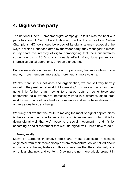# **4. Digitise the party**

The national Liberal Democrat digital campaign in 2017 was the best our party has fought. Your Liberal Britain is proud of the work of our Online Champions. HQ too should be proud of its digital teams - especially the ways in which (unnoticed often by the wider party) they managed to match in key seats the intensity of digital campaigning that the Conservatives sprung on us in 2015 to such deadly effect. Many local parties ran impressive digital operations, often on a shoestring.

But we were still outclassed. Labour, in particular, had more ideas, more money, more members, more ads, more laughs, more volume.

What's more, in our activities and organisation, we are still very heavily rooted in the pre-internet world. 'Modernising' how we do things has often gone little further than moving to emailed pdfs or using telephone conference calls. Voters are increasingly living in a different, digital-first, world – and many other charities, companies and more have shown how organisations too can change.

We firmly believe that the route to making the most of digital opportunities is the same as the route to becoming a social movement. In fact, it is by doing digital well that we'll become a social movement – and it's by becoming a social movement that we'll do digital well. Here's how to do it.

#### **1. Funny or die**

Many of Labour's innovative tools and most successful messages originated from their membership or from Momentum. As we talked about above, one of the key features of this success was that they didn't rely only on official channels and content. Drawing the net more widely brought in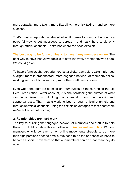more capacity, more talent, more flexibility, more risk taking – and so more success.

That's most sharply demonstrated when it comes to humour. Humour is a powerful way to get messages to spread – and really hard to do only through official channels. That's not where the best jokes sit.

**The best way to be funny online is to have funny members online.** The best way to have innovative tools is to have innovative members who code. We could go on.

To have a funnier, sharper, brighter, faster digital campaign, we simply need a larger, more interconnected, more engaged network of members online, working with staff but also doing more than staff can do alone.

Even when the staff are as excellent humourists as those running the Lib Dem Press Office Twitter account, it is only scratching the surface of what can be achieved by unlocking the potential of our membership and supporter base. That means working both through official channels and through unofficial channels, using the flexible advantages of that ecosystem we've talked about building.

#### **2. Relationships are hard work**

The key to building that engaged network of members and staff is to help them form tight bonds with each other – **offline as well as online**. Without members who know each other, online movements struggle to do more than sign petitions or send emails. We need to do the opposite: we need to become a social movement so that our members can do *more* than they do now.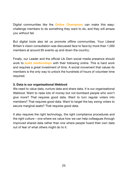Digital communities like the **Online Champions** can make this easy: challenge members to do something they want to do, and they will amaze you without fail.

But digital tools also let us promote offline communities. Your Liberal Britain's vision consultation was discussed face to face by more than 1,000 members at around 65 events up and down the country.

Finally, our Leader and the official Lib Dem social media presence should work to **build relationships** with their following online. This is hard work and requires a great investment of time. A social movement that values its members is the only way to unlock the hundreds of hours of volunteer time required.

#### **3. Data is our organisational lifeblood**

We need to value data, nurture data and share data. It is our organisational lifeblood. Want to raise lots of money but not bombard people who won't give more? That requires good data. Want to turn regular voters into members? That requires good data. Want to target the key swing voters to secure marginal seats? That requires good data.

It also requires the right technology, the right compliance procedures and the right culture – one where we value how we can help colleagues through improved shared data rather than one where people hoard their own data out of fear of what others might do to it.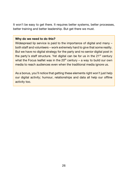It won't be easy to get there. It requires better systems, better processes, better training and better leadership. But get there we must.

#### **Why do we need to do this?**

Widespread lip service is paid to the importance of digital and many – both staff and volunteers – work extremely hard to give that some reality. But we have no digital strategy for the party and no senior digital post in the party's staff structure. Yet digital can be for us in the  $21<sup>st</sup>$  century what the Focus leaflet was in the  $20<sup>th</sup>$  century – a way to build our own media to reach audiences even when the traditional media ignore us.

As a bonus, you'll notice that getting these elements right won't just help our digital activity; humour, relationships and data all help our offline activity too.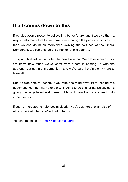# **It all comes down to this**

If we give people reason to believe in a better future, and if we give them a way to help make that future come true - through the party and outside it then we can do much more than reviving the fortunes of the Liberal Democrats. We can change the direction of this country.

This pamphlet sets out our ideas for how to do that. We'd love to hear yours. We know how much we've learnt from others in coming up with the approach set out in this pamphlet – and we're sure there's plenty more to learn still.

But it's also time for action. If you take one thing away from reading this document, let it be this: no one else is going to do this for us. No saviour is going to emerge to solve all these problems. Liberal Democrats need to do it themselves.

If you're interested to help: get involved. If you've got great examples of what's worked when you've tried it: tell us.

You can reach us on ideas@liberalbritain.org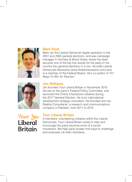

#### **Mark Pack**

Mark ran the Liberal Democrat digital operation in the 2001 and 2005 general elections, and was campaign manager in Hornsey & Wood Green where the team secured one of the top five results for the party in the country two general elections in a row. He edits Liberal Democrats Newswire (www.libdemnewswire.com) and is a member of the Federal Board. He's co-author of 101 Ways To Win An Election.



#### **Jim Williams**

Jim founded Your Liberal Britain in November 2015. He sits on the party's Federal Policy Committee, and launched the Online Champions initiative during the 2017 General Election. He is an international development strategy consultant. He founded and ran Raabta Consultants, a research and communications company in Pakistan, from 2011 to 2015.



### **Your Liberal Britain**

A members' volunteering initiative within the Liberal Democrats, Your Liberal Britain exists to help and encourage the party become more of a social movement. We help party bodies find ways to challenge and empower Lib Dem members.